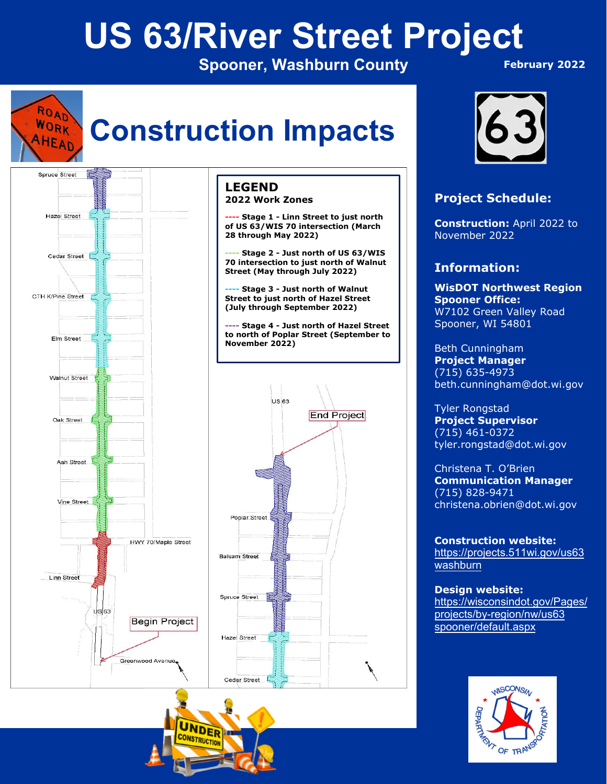# **US 63/River Street Project**

**Spooner, Washburn County** 

**End Project** 

 **February 2022**



# **Construction Impacts**







## **Project Schedule:**

**Construction:** April 2022 to November 2022

# **Information:**

**WisDOT Northwest Region Spooner Office:**  W7102 Green Valley Road Spooner, WI 54801

Beth Cunningham **Project Manager**  (715) 635-4973 beth.cunningham@dot.wi.gov

Tyler Rongstad **Project Supervisor**  (715) 461-0372 tyler.rongstad@dot.wi.gov

Christena T. O'Brien **Communication Manager** (715) 828-9471 christena.obrien@dot.wi.gov

**Construction website:** https://projects.511wi.gov/us63 washburn

**Design website:** https://wisconsindot.gov/Pages/ projects/by-region/nw/us63 spooner/default.aspx